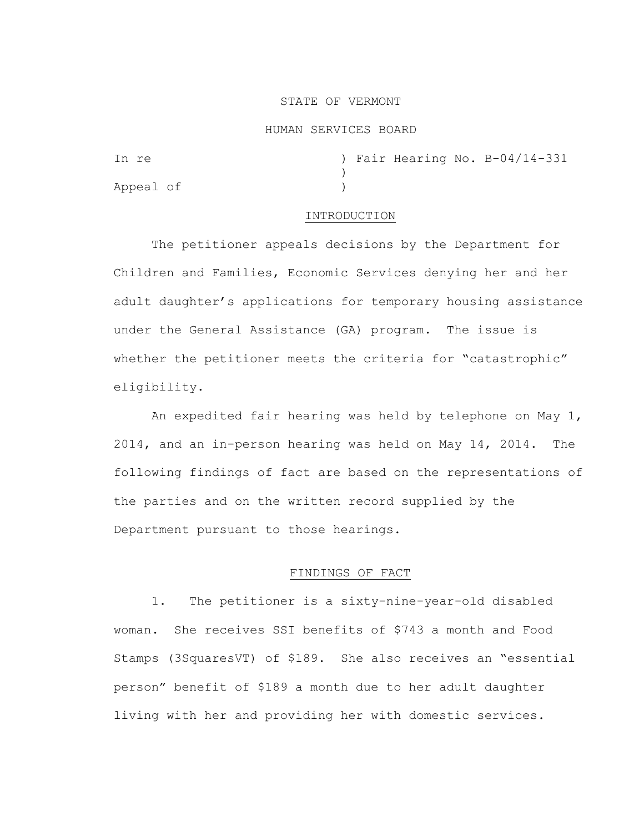#### STATE OF VERMONT

#### HUMAN SERVICES BOARD

| In re     |  |  | ) Fair Hearing No. B-04/14-331 |
|-----------|--|--|--------------------------------|
|           |  |  |                                |
| Appeal of |  |  |                                |

#### INTRODUCTION

The petitioner appeals decisions by the Department for Children and Families, Economic Services denying her and her adult daughter's applications for temporary housing assistance under the General Assistance (GA) program. The issue is whether the petitioner meets the criteria for "catastrophic" eligibility.

 An expedited fair hearing was held by telephone on May 1, 2014, and an in-person hearing was held on May 14, 2014. The following findings of fact are based on the representations of the parties and on the written record supplied by the Department pursuant to those hearings.

# FINDINGS OF FACT

1. The petitioner is a sixty-nine-year-old disabled woman. She receives SSI benefits of \$743 a month and Food Stamps (3SquaresVT) of \$189. She also receives an "essential person" benefit of \$189 a month due to her adult daughter living with her and providing her with domestic services.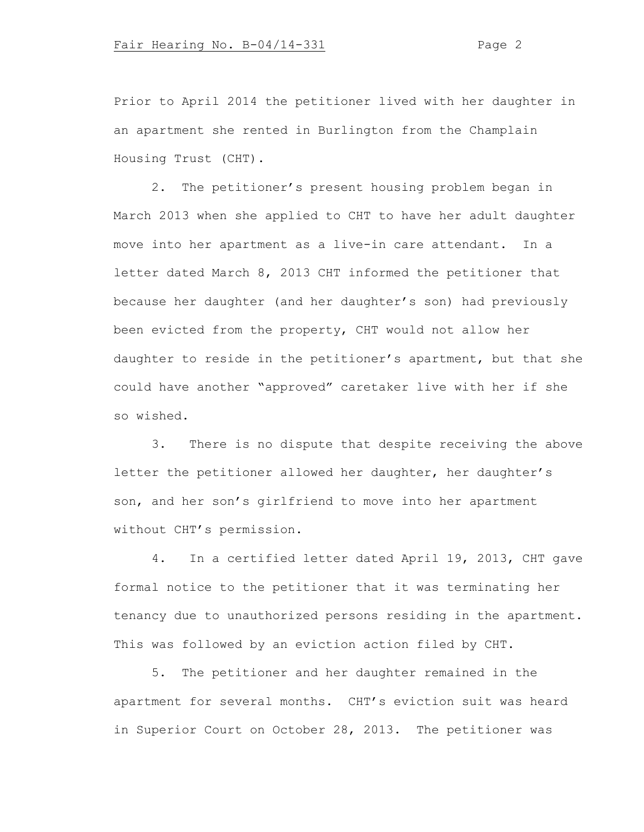Prior to April 2014 the petitioner lived with her daughter in an apartment she rented in Burlington from the Champlain Housing Trust (CHT).

2. The petitioner's present housing problem began in March 2013 when she applied to CHT to have her adult daughter move into her apartment as a live-in care attendant. In a letter dated March 8, 2013 CHT informed the petitioner that because her daughter (and her daughter's son) had previously been evicted from the property, CHT would not allow her daughter to reside in the petitioner's apartment, but that she could have another "approved" caretaker live with her if she so wished.

3. There is no dispute that despite receiving the above letter the petitioner allowed her daughter, her daughter's son, and her son's girlfriend to move into her apartment without CHT's permission.

4. In a certified letter dated April 19, 2013, CHT gave formal notice to the petitioner that it was terminating her tenancy due to unauthorized persons residing in the apartment. This was followed by an eviction action filed by CHT.

5. The petitioner and her daughter remained in the apartment for several months. CHT's eviction suit was heard in Superior Court on October 28, 2013. The petitioner was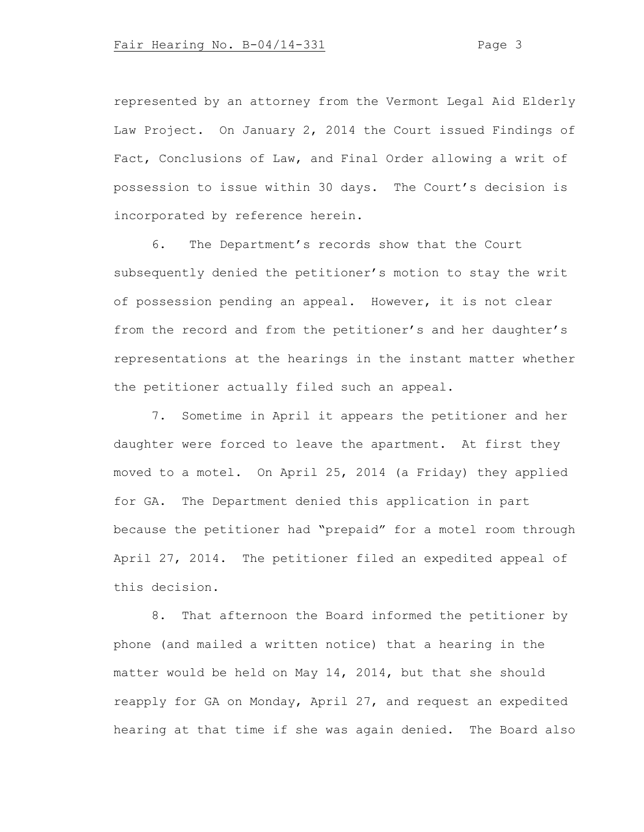represented by an attorney from the Vermont Legal Aid Elderly Law Project. On January 2, 2014 the Court issued Findings of Fact, Conclusions of Law, and Final Order allowing a writ of possession to issue within 30 days. The Court's decision is incorporated by reference herein.

6. The Department's records show that the Court subsequently denied the petitioner's motion to stay the writ of possession pending an appeal. However, it is not clear from the record and from the petitioner's and her daughter's representations at the hearings in the instant matter whether the petitioner actually filed such an appeal.

7. Sometime in April it appears the petitioner and her daughter were forced to leave the apartment. At first they moved to a motel. On April 25, 2014 (a Friday) they applied for GA. The Department denied this application in part because the petitioner had "prepaid" for a motel room through April 27, 2014. The petitioner filed an expedited appeal of this decision.

8. That afternoon the Board informed the petitioner by phone (and mailed a written notice) that a hearing in the matter would be held on May 14, 2014, but that she should reapply for GA on Monday, April 27, and request an expedited hearing at that time if she was again denied. The Board also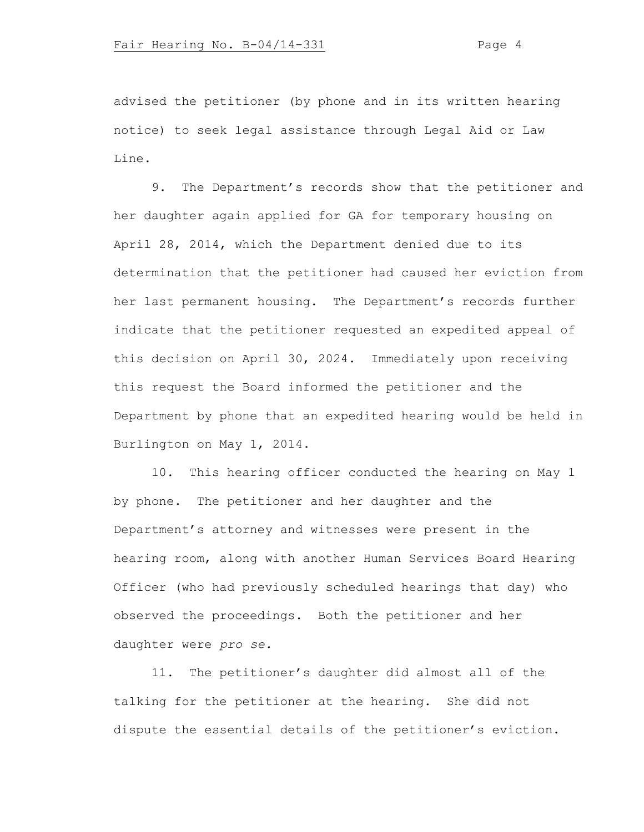advised the petitioner (by phone and in its written hearing notice) to seek legal assistance through Legal Aid or Law Line.

9. The Department's records show that the petitioner and her daughter again applied for GA for temporary housing on April 28, 2014, which the Department denied due to its determination that the petitioner had caused her eviction from her last permanent housing. The Department's records further indicate that the petitioner requested an expedited appeal of this decision on April 30, 2024. Immediately upon receiving this request the Board informed the petitioner and the Department by phone that an expedited hearing would be held in Burlington on May 1, 2014.

10. This hearing officer conducted the hearing on May 1 by phone. The petitioner and her daughter and the Department's attorney and witnesses were present in the hearing room, along with another Human Services Board Hearing Officer (who had previously scheduled hearings that day) who observed the proceedings. Both the petitioner and her daughter were *pro se.*

11. The petitioner's daughter did almost all of the talking for the petitioner at the hearing. She did not dispute the essential details of the petitioner's eviction.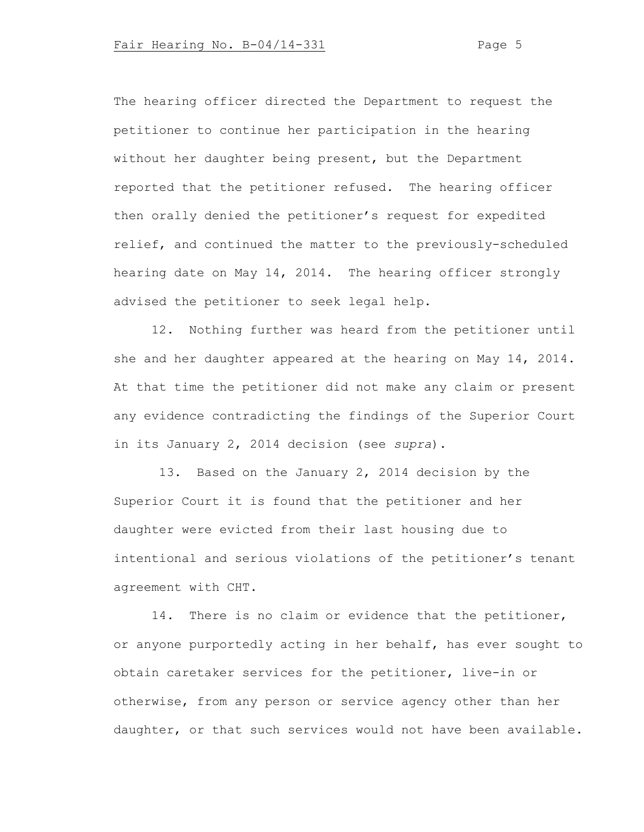The hearing officer directed the Department to request the petitioner to continue her participation in the hearing without her daughter being present, but the Department reported that the petitioner refused. The hearing officer then orally denied the petitioner's request for expedited relief, and continued the matter to the previously-scheduled hearing date on May 14, 2014. The hearing officer strongly advised the petitioner to seek legal help.

12. Nothing further was heard from the petitioner until she and her daughter appeared at the hearing on May 14, 2014. At that time the petitioner did not make any claim or present any evidence contradicting the findings of the Superior Court in its January 2, 2014 decision (see *supra*).

13. Based on the January 2, 2014 decision by the Superior Court it is found that the petitioner and her daughter were evicted from their last housing due to intentional and serious violations of the petitioner's tenant agreement with CHT.

14. There is no claim or evidence that the petitioner, or anyone purportedly acting in her behalf, has ever sought to obtain caretaker services for the petitioner, live-in or otherwise, from any person or service agency other than her daughter, or that such services would not have been available.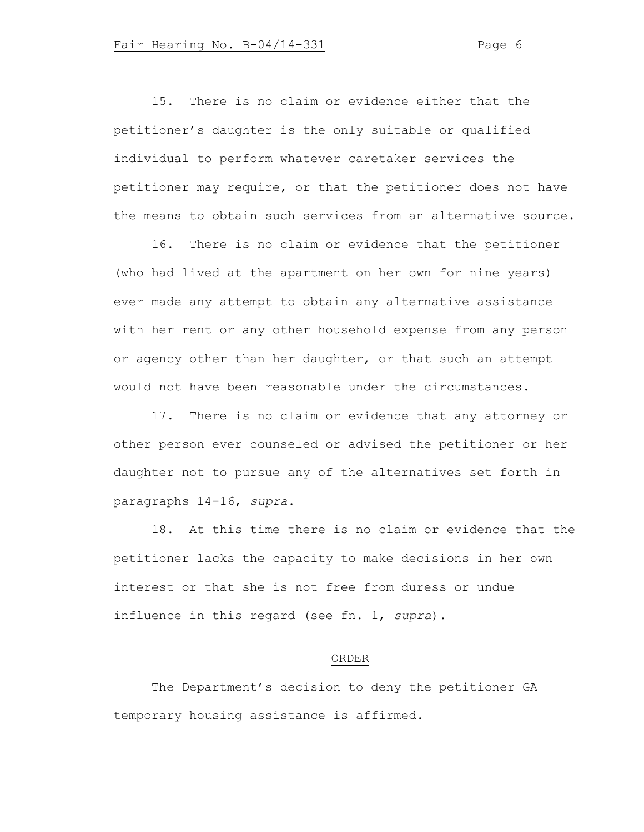15. There is no claim or evidence either that the petitioner's daughter is the only suitable or qualified individual to perform whatever caretaker services the petitioner may require, or that the petitioner does not have the means to obtain such services from an alternative source.

16. There is no claim or evidence that the petitioner (who had lived at the apartment on her own for nine years) ever made any attempt to obtain any alternative assistance with her rent or any other household expense from any person or agency other than her daughter, or that such an attempt would not have been reasonable under the circumstances.

17. There is no claim or evidence that any attorney or other person ever counseled or advised the petitioner or her daughter not to pursue any of the alternatives set forth in paragraphs 14-16, *supra*.

18. At this time there is no claim or evidence that the petitioner lacks the capacity to make decisions in her own interest or that she is not free from duress or undue influence in this regard (see fn. 1, *supra*).

### ORDER

The Department's decision to deny the petitioner GA temporary housing assistance is affirmed.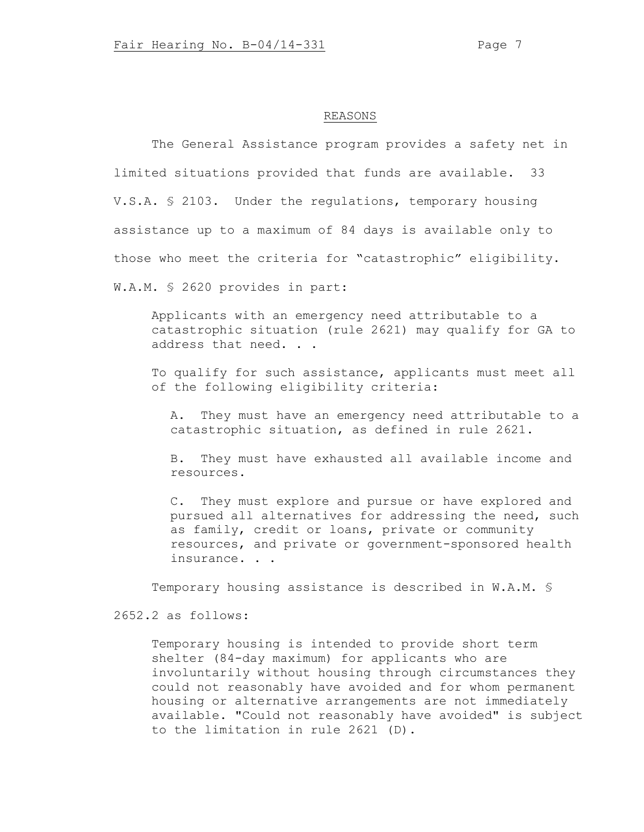# REASONS

The General Assistance program provides a safety net in limited situations provided that funds are available. 33 V.S.A. § 2103. Under the regulations, temporary housing assistance up to a maximum of 84 days is available only to those who meet the criteria for "catastrophic" eligibility. W.A.M. § 2620 provides in part:

Applicants with an emergency need attributable to a catastrophic situation (rule 2621) may qualify for GA to address that need. . .

To qualify for such assistance, applicants must meet all of the following eligibility criteria:

A. They must have an emergency need attributable to a catastrophic situation, as defined in rule 2621.

B. They must have exhausted all available income and resources.

C. They must explore and pursue or have explored and pursued all alternatives for addressing the need, such as family, credit or loans, private or community resources, and private or government-sponsored health insurance. . .

Temporary housing assistance is described in W.A.M. §

2652.2 as follows:

Temporary housing is intended to provide short term shelter (84-day maximum) for applicants who are involuntarily without housing through circumstances they could not reasonably have avoided and for whom permanent housing or alternative arrangements are not immediately available. "Could not reasonably have avoided" is subject to the limitation in rule 2621 (D).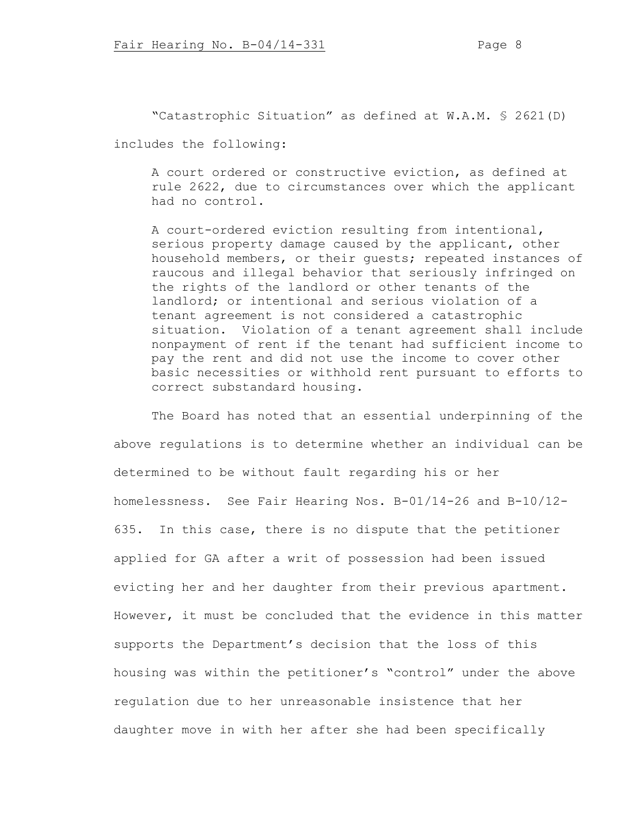"Catastrophic Situation" as defined at W.A.M. § 2621(D) includes the following:

A court ordered or constructive eviction, as defined at rule 2622, due to circumstances over which the applicant had no control.

A court-ordered eviction resulting from intentional, serious property damage caused by the applicant, other household members, or their guests; repeated instances of raucous and illegal behavior that seriously infringed on the rights of the landlord or other tenants of the landlord; or intentional and serious violation of a tenant agreement is not considered a catastrophic situation. Violation of a tenant agreement shall include nonpayment of rent if the tenant had sufficient income to pay the rent and did not use the income to cover other basic necessities or withhold rent pursuant to efforts to correct substandard housing.

The Board has noted that an essential underpinning of the above regulations is to determine whether an individual can be determined to be without fault regarding his or her homelessness. See Fair Hearing Nos. B-01/14-26 and B-10/12- 635. In this case, there is no dispute that the petitioner applied for GA after a writ of possession had been issued evicting her and her daughter from their previous apartment. However, it must be concluded that the evidence in this matter supports the Department's decision that the loss of this housing was within the petitioner's "control" under the above regulation due to her unreasonable insistence that her daughter move in with her after she had been specifically